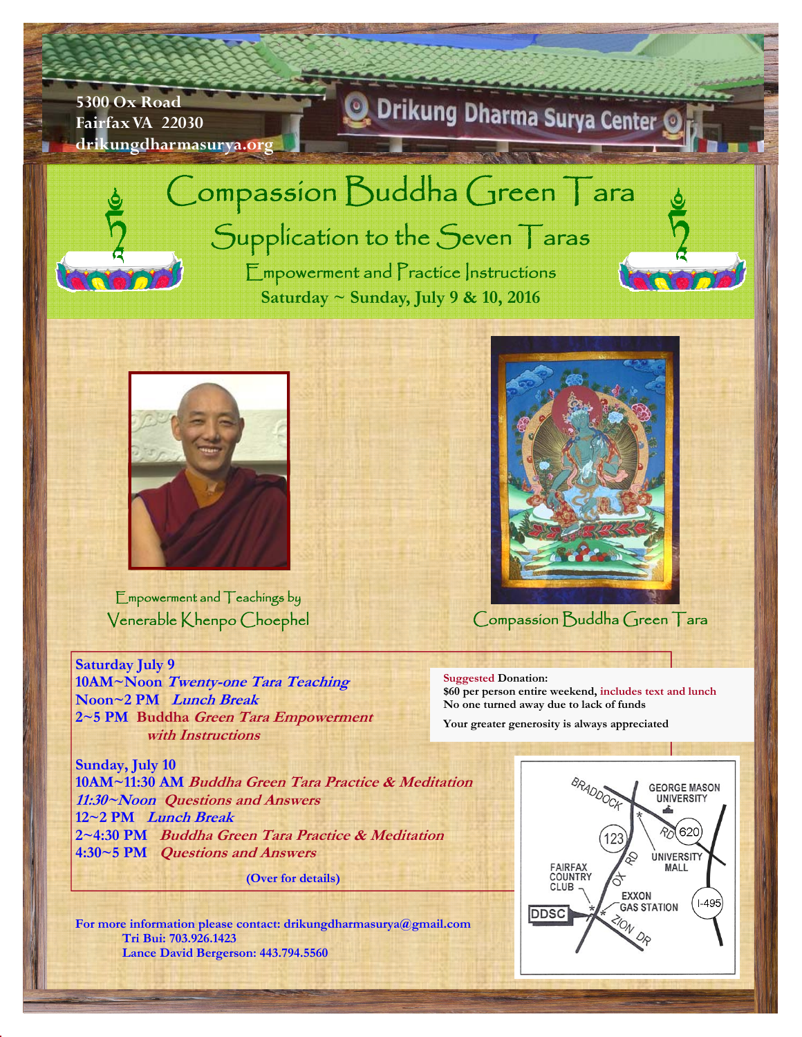## **5300 Ox Road Fairfax VA 22030 drikungdharmasurya.org**

## Drikung Dharma Surya Center



## Compassion Buddha Green Tara Supplication to the Seven Taras

Empowerment and Practice Instructions **Saturday ~ Sunday, July 9 & 10, 2016** 



Empowerment and Teachings by Venerable Khenpo Choephel

**Saturday July 9** 

**10AM~Noon Twenty-one Tara Teaching Noon~2 PM Lunch Break 2~5 PM Buddha Green Tara Empowerment with Instructions** 

**Sunday, July 10 10AM~11:30 AM Buddha Green Tara Practice & Meditation 11:30~Noon Questions and Answers 12~2 PM Lunch Break 2~4:30 PM Buddha Green Tara Practice & Meditation 4:30~5 PM Questions and Answers** 

**(Over for details)** 

**For more information please contact: drikungdharmasurya@gmail.com Tri Bui: 703.926.1423 Lance David Bergerson: 443.794.5560** 



Compassion Buddha Green Tara

## **Suggested Donation:**

**\$60 per person entire weekend, includes text and lunch No one turned away due to lack of funds** 

**Your greater generosity is always appreciated**